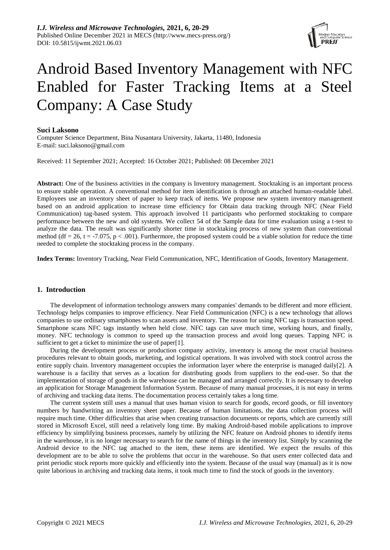

# Android Based Inventory Management with NFC Enabled for Faster Tracking Items at a Steel Company: A Case Study

## **Suci Laksono**

Computer Science Department, Bina Nusantara University, Jakarta, 11480, Indonesia E-mail: suci.laksono@gmail.com

Received: 11 September 2021; Accepted: 16 October 2021; Published: 08 December 2021

**Abstract:** One of the business activities in the company is Inventory management. Stocktaking is an important process to ensure stable operation. A conventional method for item identification is through an attached human-readable label. Employees use an inventory sheet of paper to keep track of items. We propose new system inventory management based on an android application to increase time efficiency for Obtain data tracking through NFC (Near Field Communication) tag-based system. This approach involved 11 participants who performed stocktaking to compare performance between the new and old systems. We collect 54 of the Sample data for time evaluation using a t-test to analyze the data. The result was significantly shorter time in stocktaking process of new system than conventional method (df = 26, t = -7.075, p < .001). Furthermore, the proposed system could be a viable solution for reduce the time needed to complete the stocktaking process in the company.

**Index Terms:** Inventory Tracking, Near Field Communication, NFC, Identification of Goods, Inventory Management.

## **1. Introduction**

The development of information technology answers many companies' demands to be different and more efficient. Technology helps companies to improve efficiency. Near Field Communication (NFC) is a new technology that allows companies to use ordinary smartphones to scan assets and inventory. The reason for using NFC tags is transaction speed. Smartphone scans NFC tags instantly when held close. NFC tags can save much time, working hours, and finally, money. NFC technology is common to speed up the transaction process and avoid long queues. Tapping NFC is sufficient to get a ticket to minimize the use of paper[1].

During the development process or production company activity, inventory is among the most crucial business procedures relevant to obtain goods, marketing, and logistical operations. It was involved with stock control across the entire supply chain. Inventory management occupies the information layer where the enterprise is managed daily[2]. A warehouse is a facility that serves as a location for distributing goods from suppliers to the end-user. So that the implementation of storage of goods in the warehouse can be managed and arranged correctly. It is necessary to develop an application for Storage Management Information System. Because of many manual processes, it is not easy in terms of archiving and tracking data items. The documentation process certainly takes a long time.

The current system still uses a manual that uses human vision to search for goods, record goods, or fill inventory numbers by handwriting an inventory sheet paper. Because of human limitations, the data collection process will require much time. Other difficulties that arise when creating transaction documents or reports, which are currently still stored in Microsoft Excel, still need a relatively long time. By making Android-based mobile applications to improve efficiency by simplifying business processes, namely by utilizing the NFC feature on Android phones to identify items in the warehouse, it is no longer necessary to search for the name of things in the inventory list. Simply by scanning the Android device to the NFC tag attached to the item, these items are identified. We expect the results of this development are to be able to solve the problems that occur in the warehouse. So that users enter collected data and print periodic stock reports more quickly and efficiently into the system. Because of the usual way (manual) as it is now quite laborious in archiving and tracking data items, it took much time to find the stock of goods in the inventory.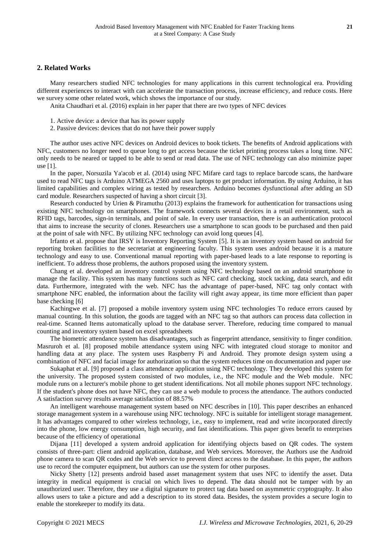# **2. Related Works**

Many researchers studied NFC technologies for many applications in this current technological era. Providing different experiences to interact with can accelerate the transaction process, increase efficiency, and reduce costs. Here we survey some other related work, which shows the importance of our study.

Anita Chaudhari et al. (2016) explain in her paper that there are two types of NFC devices

1. Active device: a device that has its power supply

2. Passive devices: devices that do not have their power supply

The author uses active NFC devices on Android devices to book tickets. The benefits of Android applications with NFC, customers no longer need to queue long to get access because the ticket printing process takes a long time. NFC only needs to be neared or tapped to be able to send or read data. The use of NFC technology can also minimize paper use [1].

In the paper, Norsuzila Ya'acob et al. (2014) using NFC Mifare card tags to replace barcode scans, the hardware used to read NFC tags is Arduino ATMEGA 2560 and uses laptops to get product information. By using Arduino, it has limited capabilities and complex wiring as tested by researchers. Arduino becomes dysfunctional after adding an SD card module. Researchers suspected of having a short circuit [3].

Research conducted by Urien & Piramuthu (2013) explains the framework for authentication for transactions using existing NFC technology on smartphones. The framework connects several devices in a retail environment, such as RFID tags, barcodes, sign-in terminals, and point of sale. In every user transaction, there is an authentication protocol that aims to increase the security of clones. Researchers use a smartphone to scan goods to be purchased and then paid at the point of sale with NFC. By utilizing NFC technology can avoid long queues [4].

Irfanto et al. propose that IRSY is Inventory Reporting System [5]. It is an inventory system based on android for reporting broken facilities to the secretariat at engineering faculty. This system uses android because it is a mature technology and easy to use. Conventional manual reporting with paper-based leads to a late response to reporting is inefficient. To address those problems, the authors proposed using the inventory system.

Chang et al. developed an inventory control system using NFC technology based on an android smartphone to manage the facility. This system has many functions such as NFC card checking, stock tacking, data search, and edit data. Furthermore, integrated with the web. NFC has the advantage of paper-based, NFC tag only contact with smartphone NFC enabled, the information about the facility will right away appear, its time more efficient than paper base checking [6]

Kachingwe et al. [7] proposed a mobile inventory system using NFC technologies To reduce errors caused by manual counting. In this solution, the goods are tagged with an NFC tag so that authors can process data collection in real-time. Scanned Items automatically upload to the database server. Therefore, reducing time compared to manual counting and inventory system based on excel spreadsheets

The biometric attendance system has disadvantages, such as fingerprint attendance, sensitivity to finger condition. Masruroh et al. [8] proposed mobile attendance system using NFC with integrated cloud storage to monitor and handling data at any place. The system uses Raspberry Pi and Android. They promote design system using a combination of NFC and facial image for authorization so that the system reduces time on documentation and paper use

Sukaphat et al. [9] proposed a class attendance application using NFC technology. They developed this system for the university. The proposed system consisted of two modules, i.e., the NFC module and the Web module. NFC module runs on a lecturer's mobile phone to get student identifications. Not all mobile phones support NFC technology. If the student's phone does not have NFC, they can use a web module to process the attendance. The authors conducted A satisfaction survey results average satisfaction of 88.57%

An intelligent warehouse management system based on NFC describes in [10]. This paper describes an enhanced storage management system in a warehouse using NFC technology. NFC is suitable for intelligent storage management. It has advantages compared to other wireless technology, i.e., easy to implement, read and write incorporated directly into the phone, low energy consumption, high security, and fast identifications. This paper gives benefit to enterprises because of the efficiency of operational

Dijana [11] developed a system android application for identifying objects based on QR codes. The system consists of three-part: client android application, database, and Web services. Moreover, the Authors use the Android phone camera to scan QR codes and the Web service to prevent direct access to the database. In this paper, the authors use to record the computer equipment, but authors can use the system for other purposes.

Nicky Shetty [12] presents android based asset management system that uses NFC to identify the asset. Data integrity in medical equipment is crucial on which lives to depend. The data should not be tamper with by an unauthorized user. Therefore, they use a digital signature to protect tag data based on asymmetric cryptography. It also allows users to take a picture and add a description to its stored data. Besides, the system provides a secure login to enable the storekeeper to modify its data.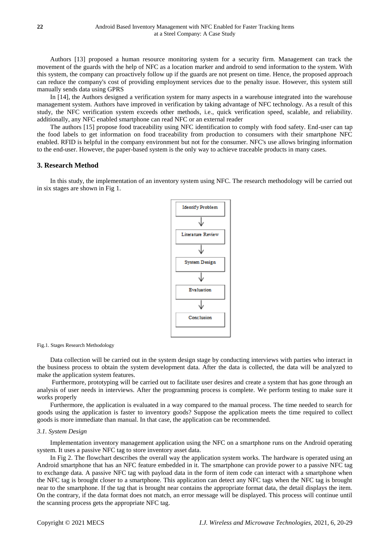Authors [13] proposed a human resource monitoring system for a security firm. Management can track the movement of the guards with the help of NFC as a location marker and android to send information to the system. With this system, the company can proactively follow up if the guards are not present on time. Hence, the proposed approach can reduce the company's cost of providing employment services due to the penalty issue. However, this system still manually sends data using GPRS

In [14], the Authors designed a verification system for many aspects in a warehouse integrated into the warehouse management system. Authors have improved in verification by taking advantage of NFC technology. As a result of this study, the NFC verification system exceeds other methods, i.e., quick verification speed, scalable, and reliability. additionally, any NFC enabled smartphone can read NFC or an external reader

The authors [15] propose food traceability using NFC identification to comply with food safety. End-user can tap the food labels to get information on food traceability from production to consumers with their smartphone NFC enabled. RFID is helpful in the company environment but not for the consumer. NFC's use allows bringing information to the end-user. However, the paper-based system is the only way to achieve traceable products in many cases.

# **3. Research Method**

In this study, the implementation of an inventory system using NFC. The research methodology will be carried out in six stages are shown in Fig 1.



Fig.1. Stages Research Methodology

Data collection will be carried out in the system design stage by conducting interviews with parties who interact in the business process to obtain the system development data. After the data is collected, the data will be analyzed to make the application system features.

Furthermore, prototyping will be carried out to facilitate user desires and create a system that has gone through an analysis of user needs in interviews. After the programming process is complete. We perform testing to make sure it works properly

Furthermore, the application is evaluated in a way compared to the manual process. The time needed to search for goods using the application is faster to inventory goods? Suppose the application meets the time required to collect goods is more immediate than manual. In that case, the application can be recommended.

#### *3.1. System Design*

Implementation inventory management application using the NFC on a smartphone runs on the Android operating system. It uses a passive NFC tag to store inventory asset data.

In Fig 2. The flowchart describes the overall way the application system works. The hardware is operated using an Android smartphone that has an NFC feature embedded in it. The smartphone can provide power to a passive NFC tag to exchange data. A passive NFC tag with payload data in the form of item code can interact with a smartphone when the NFC tag is brought closer to a smartphone. This application can detect any NFC tags when the NFC tag is brought near to the smartphone. If the tag that is brought near contains the appropriate format data, the detail displays the item. On the contrary, if the data format does not match, an error message will be displayed. This process will continue until the scanning process gets the appropriate NFC tag.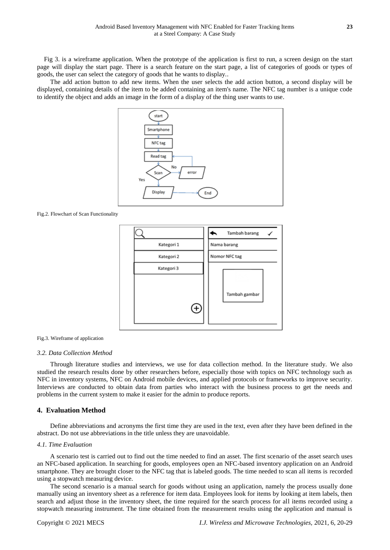Fig 3. is a wireframe application. When the prototype of the application is first to run, a screen design on the start page will display the start page. There is a search feature on the start page, a list of categories of goods or types of goods, the user can select the category of goods that he wants to display..

The add action button to add new items. When the user selects the add action button, a second display will be displayed, containing details of the item to be added containing an item's name. The NFC tag number is a unique code to identify the object and adds an image in the form of a display of the thing user wants to use.



Fig.2. Flowchart of Scan Functionality



#### Fig.3. Wireframe of application

#### *3.2. Data Collection Method*

Through literature studies and interviews, we use for data collection method. In the literature study. We also studied the research results done by other researchers before, especially those with topics on NFC technology such as NFC in inventory systems, NFC on Android mobile devices, and applied protocols or frameworks to improve security. Interviews are conducted to obtain data from parties who interact with the business process to get the needs and problems in the current system to make it easier for the admin to produce reports.

## **4. Evaluation Method**

Define abbreviations and acronyms the first time they are used in the text, even after they have been defined in the abstract. Do not use abbreviations in the title unless they are unavoidable.

## *4.1. Time Evaluation*

A scenario test is carried out to find out the time needed to find an asset. The first scenario of the asset search uses an NFC-based application. In searching for goods, employees open an NFC-based inventory application on an Android smartphone. They are brought closer to the NFC tag that is labeled goods. The time needed to scan all items is recorded using a stopwatch measuring device.

The second scenario is a manual search for goods without using an application, namely the process usually done manually using an inventory sheet as a reference for item data. Employees look for items by looking at item labels, then search and adjust those in the inventory sheet, the time required for the search process for all items recorded using a stopwatch measuring instrument. The time obtained from the measurement results using the application and manual is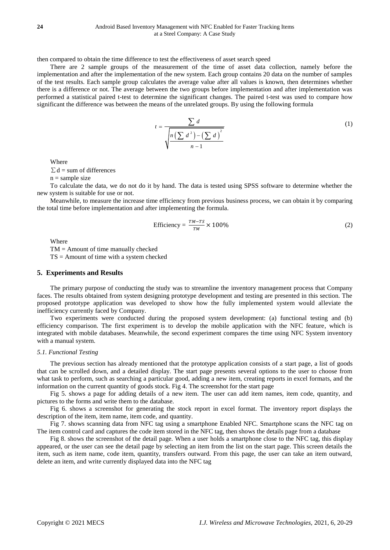then compared to obtain the time difference to test the effectiveness of asset search speed

There are 2 sample groups of the measurement of the time of asset data collection, namely before the implementation and after the implementation of the new system. Each group contains 20 data on the number of samples of the test results. Each sample group calculates the average value after all values is known, then determines whether there is a difference or not. The average between the two groups before implementation and after implementation was performed a statistical paired t-test to determine the significant changes. The paired t-test was used to compare how significant the difference was between the means of the unrelated groups. By using the following formula

$$
t = \frac{\sum d}{\sqrt{\frac{n\left(\sum d^2\right) - \left(\sum d\right)^2}{n-1}}}
$$
(1)

Where

 $\Sigma d$  = sum of differences

 $n =$ sample size

To calculate the data, we do not do it by hand. The data is tested using SPSS software to determine whether the new system is suitable for use or not.

Meanwhile, to measure the increase time efficiency from previous business process, we can obtain it by comparing the total time before implementation and after implementing the formula.

$$
\text{Efficiency} = \frac{TM - TS}{TM} \times 100\%
$$
 (2)

Where

TM = Amount of time manually checked  $TS =$  Amount of time with a system checked

## **5. Experiments and Results**

The primary purpose of conducting the study was to streamline the inventory management process that Company faces. The results obtained from system designing prototype development and testing are presented in this section. The proposed prototype application was developed to show how the fully implemented system would alleviate the inefficiency currently faced by Company.

Two experiments were conducted during the proposed system development: (a) functional testing and (b) efficiency comparison. The first experiment is to develop the mobile application with the NFC feature, which is integrated with mobile databases. Meanwhile, the second experiment compares the time using NFC System inventory with a manual system.

#### *5.1. Functional Testing*

The previous section has already mentioned that the prototype application consists of a start page, a list of goods that can be scrolled down, and a detailed display. The start page presents several options to the user to choose from what task to perform, such as searching a particular good, adding a new item, creating reports in excel formats, and the information on the current quantity of goods stock. Fig 4. The screenshot for the start page

Fig 5. shows a page for adding details of a new item. The user can add item names, item code, quantity, and pictures to the forms and write them to the database.

Fig 6. shows a screenshot for generating the stock report in excel format. The inventory report displays the description of the item, item name, item code, and quantity.

Fig 7. shows scanning data from NFC tag using a smartphone Enabled NFC. Smartphone scans the NFC tag on The item control card and captures the code item stored in the NFC tag, then shows the details page from a database

Fig 8. shows the screenshot of the detail page. When a user holds a smartphone close to the NFC tag, this display appeared, or the user can see the detail page by selecting an item from the list on the start page. This screen details the item, such as item name, code item, quantity, transfers outward. From this page, the user can take an item outward, delete an item, and write currently displayed data into the NFC tag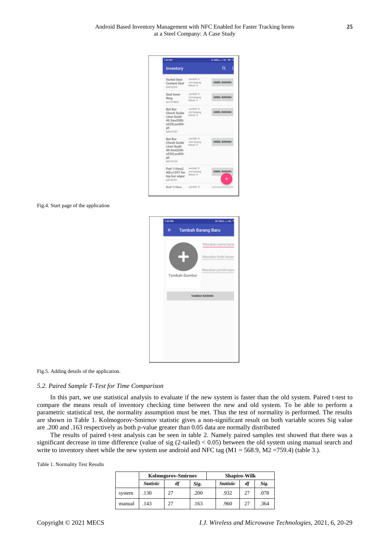| 144,944                                                                                       |                                      | 41.000/s.c/ 40.105.0 |
|-----------------------------------------------------------------------------------------------|--------------------------------------|----------------------|
| <b>Inventory</b>                                                                              |                                      | a                    |
| Varied Seal<br>Coolant Seal<br>04232293                                                       | Jumlah: D<br>Jmil barang<br>keluar 0 | AMBIL BARANG         |
| Seal Inner<br>Ring<br>021474836                                                               | Jumlah: D<br>Jmil barang<br>keluar 0 | AMBIL BARANG         |
| <b>Bot Bur</b><br>Chock Guide<br>Liner Guidr<br>49.5wv200h<br>x2251.ss400-<br>oh.<br>04147237 | Jumlah: 0<br>Jmil barang<br>keluar 0 | AMRIL BARANO         |
| <b>Bot Bur</b><br>Chock Guide<br>Liner Guidr<br>49.5wx225h<br>x2251.ss400-<br>ph<br>04147235  | Jumlah: D<br>Jmil barang<br>keluar 0 | AMBIL BARANG         |
| Pad 110wx2<br>40Lx125T for<br>top bur wiper<br>04145701                                       | Jumlah: 0<br>Jmil barano<br>keluar 0 | AMBIL BARANG         |
| <b>Pad 110wv</b>                                                                              | Jumlah: 0                            | ٠                    |

#### Fig.4. Start page of the application

| 1:45 PM |               | 30.7KB/s unit 4G                                                |
|---------|---------------|-----------------------------------------------------------------|
|         |               | <b>Tambah Barang Baru</b>                                       |
|         | Tambah Gambar | Masukan nama barar<br>Masukan kode baran<br>Masukan jumlah bara |
|         |               | <b>TAMBAH BARANG</b>                                            |
|         |               |                                                                 |
|         |               |                                                                 |

Fig.5. Adding details of the application.

#### *5.2. Paired Sample T-Test for Time Comparison*

In this part, we use statistical analysis to evaluate if the new system is faster than the old system. Paired t-test to compare the means result of inventory checking time between the new and old system. To be able to perform a parametric statistical test, the normality assumption must be met. Thus the test of normality is performed. The results are shown in Table 1. Kolmogorov-Smirnov statistic gives a non-significant result on both variable scores Sig value are .200 and .163 respectively as both p-value greater than 0.05 data are normally distributed

The results of paired t-test analysis can be seen in table 2. Namely paired samples test showed that there was a significant decrease in time difference (value of sig  $(2$ -tailed) < 0.05) between the old system using manual search and write to inventory sheet while the new system use android and NFC tag ( $M1 = 568.9$ ,  $M2 = 759.4$ ) (table 3.).

Table 1. Normality Test Results

|        |                  | Kolmogorov-Smirnov |      |                  | <b>Shapiro-Wilk</b> |      |
|--------|------------------|--------------------|------|------------------|---------------------|------|
|        | <i>Statistic</i> | df                 | Sig. | <b>Statistic</b> | df                  | Sig. |
| system | .130             | 27                 | .200 | .932             | 27                  | .078 |
| manual | 143              | 27                 | .163 | .960             | 27                  | .364 |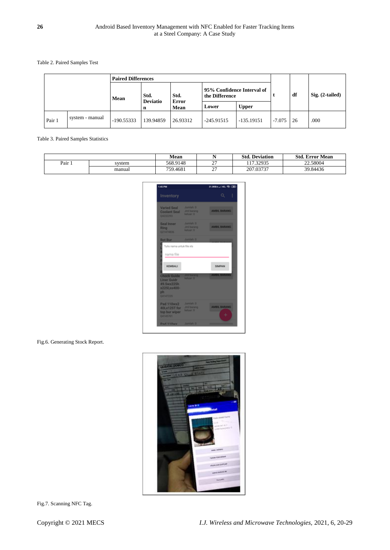Table 2. Paired Samples Test

|        |                 | <b>Paired Differences</b> |                      |                      |                                              |              |          |    |                   |
|--------|-----------------|---------------------------|----------------------|----------------------|----------------------------------------------|--------------|----------|----|-------------------|
|        |                 | Mean                      | Std.                 | Std.                 | 95% Confidence Interval of<br>the Difference |              |          | df | $Sig. (2-tailed)$ |
|        |                 |                           | <b>Deviatio</b><br>n | <b>Error</b><br>Mean | Lower                                        | <b>Upper</b> |          |    |                   |
| Pair 1 | system - manual | $-190.55333$              | 139.94859            | 26.93312             | $-245.91515$                                 | $-135.19151$ | $-7.075$ | 26 | .000              |

Table 3. Paired Samples Statistics

|                   |        | Mean     |                   | <b>Std. Deviation</b> | <b>Std. Error Mean</b> |
|-------------------|--------|----------|-------------------|-----------------------|------------------------|
| Pair <sub>1</sub> | svstem | 568.9148 | $\sim$<br>∼       | 17.32935              | 22.58004               |
|                   | manual | 759.4681 | ~~<br><u>، سە</u> | 207.03737             | 39.84436               |

| 1:45 PM                                                                                  |                                                                          | 31,000/s.c (40, %) CBD                                                                                                                 |
|------------------------------------------------------------------------------------------|--------------------------------------------------------------------------|----------------------------------------------------------------------------------------------------------------------------------------|
| Inventory                                                                                |                                                                          | I<br>Q.                                                                                                                                |
| <b>Varied Seal</b><br><b>Coolant Seal</b><br>042322933                                   | <b>Jumlah</b> : 0<br><b>Jmil barang</b><br><b><i><u>keluar</u></i></b> O | AMBIL BARANG<br><u> a shekara ta 1999 a shekara ta 1999 a shekara ta 1999 a shekara ta 1999 a shekara ta 1999 a shekara ta 1999 a </u> |
| Seal Inner<br>Ring<br>021474836                                                          | Jumlah: 0<br><b>Jmil barano</b><br>keluar 0                              | <b>AMBIL BARANG</b><br>____                                                                                                            |
| <b>Bot Bur</b>                                                                           | <b>Jumlah: 0</b>                                                         |                                                                                                                                        |
| C<br>Tulis nama untuk file xis<br>ı                                                      |                                                                          |                                                                                                                                        |
| ı<br>nama file                                                                           |                                                                          |                                                                                                                                        |
| ı<br>ć<br><b>KEMBALI</b>                                                                 |                                                                          | <b>SIMPAN</b>                                                                                                                          |
| <b>Chock Guide</b><br><b>Liner Guidr</b><br>49.5wx225h<br>x2251,ss400-<br>ph<br>O4147235 | <b>Jimil barang</b><br><b>Value 0</b>                                    | <b>AMBIE RARANG</b>                                                                                                                    |
| <b>Pad 110wx2</b><br>40Lx125T for<br>top bur wiper<br>04145701                           | <b>Jumlah</b> 0<br><b>Jmil barang</b><br>keluar 0                        | <b>AMBIL BARANG</b><br>÷                                                                                                               |
| Pad 110wx                                                                                | <b>Jumlah: 0</b>                                                         | _____                                                                                                                                  |

Fig.6. Generating Stock Report.



Fig.7. Scanning NFC Tag.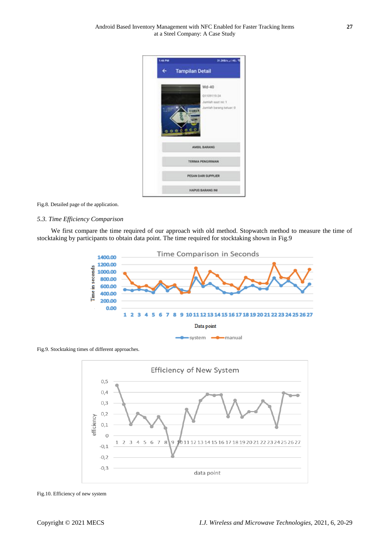

Fig.8. Detailed page of the application.

#### *5.3. Time Efficiency Comparison*

We first compare the time required of our approach with old method. Stopwatch method to measure the time of stocktaking by participants to obtain data point. The time required for stocktaking shown in Fig.9



Fig.9. Stocktaking times of different approaches.



Fig.10. Efficiency of new system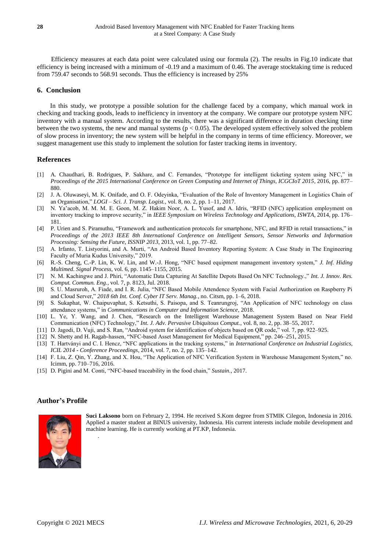Efficiency measures at each data point were calculated using our formula (2). The results in Fig.10 indicate that efficiency is being increased with a minimum of -0.19 and a maximum of 0.46. The average stocktaking time is reduced from 759.47 seconds to 568.91 seconds. Thus the efficiency is increased by 25%

# **6. Conclusion**

In this study, we prototype a possible solution for the challenge faced by a company, which manual work in checking and tracking goods, leads to inefficiency in inventory at the company. We compare our prototype system NFC inventory with a manual system. According to the results, there was a significant difference in duration checking time between the two systems, the new and manual systems ( $p < 0.05$ ). The developed system effectively solved the problem of slow process in inventory; the new system will be helpful in the company in terms of time efficiency. Moreover, we suggest management use this study to implement the solution for faster tracking items in inventory.

# **References**

- [1] A. Chaudhari, B. Rodrigues, P. Sakhare, and C. Fernandes, "Prototype for intelligent ticketing system using NFC," in *Proceedings of the 2015 International Conference on Green Computing and Internet of Things, ICGCIoT 2015*, 2016, pp. 877– 880.
- [2] J. A. Oluwaseyi, M. K. Onifade, and O. F. Odeyinka, "Evaluation of the Role of Inventory Management in Logistics Chain of an Organisation," *LOGI – Sci. J. Transp. Logist.*, vol. 8, no. 2, pp. 1–11, 2017.
- [3] N. Ya'acob, M. M. M. E. Goon, M. Z. Hakim Noor, A. L. Yusof, and A. Idris, "RFID (NFC) application employment on inventory tracking to improve security," in *IEEE Symposium on Wireless Technology and Applications, ISWTA*, 2014, pp. 176– 181.
- [4] P. Urien and S. Piramuthu, "Framework and authentication protocols for smartphone, NFC, and RFID in retail transactions," in *Proceedings of the 2013 IEEE 8th International Conference on Intelligent Sensors, Sensor Networks and Information Processing: Sensing the Future, ISSNIP 2013*, 2013, vol. 1, pp. 77–82.
- [5] A. Irfanto, T. Listyorini, and A. Murti, "An Android Based Inventory Reporting System: A Case Study in The Engineering Faculty of Muria Kudus University," 2019.
- [6] R.-S. Cheng, C.-P. Lin, K. W. Lin, and W.-J. Hong, "NFC based equipment management inventory system," *J. Inf. Hiding Multimed. Signal Process*, vol. 6, pp. 1145–1155, 2015.
- [7] N. M. Kachingwe and J. Phiri, "Automatic Data Capturing At Satellite Depots Based On NFC Technology.," *Int. J. Innov. Res. Comput. Commun. Eng.*, vol. 7, p. 8123, Jul. 2018.
- [8] S. U. Masruroh, A. Fiade, and I. R. Julia, "NFC Based Mobile Attendence System with Facial Authorization on Raspberry Pi and Cloud Server," *2018 6th Int. Conf. Cyber IT Serv. Manag.*, no. Citsm, pp. 1–6, 2018.
- [9] S. Sukaphat, W. Chaipuvaphat, S. Ketsuthi, S. Paisopa, and S. Teanrungroj, "An Application of NFC technology on class attendance systems," in *Communications in Computer and Information Science*, 2018.
- [10] L. Ye, Y. Wang, and J. Chen, "Research on the Intelligent Warehouse Management System Based on Near Field Communication (NFC) Technology," *Int. J. Adv. Pervasive Ubiquitous Comput.*, vol. 8, no. 2, pp. 38–55, 2017.
- [11] D. Jagodi, D. Vuji, and S. Ran, "Android system for identification of objects based on QR code," vol. 7, pp. 922-925.
- [12] N. Shetty and H. Ragab-hassen, "NFC-based Asset Management for Medical Equipment," pp. 246–251, 2015.
- [13] T. Hartványi and C. I. Hencz, "NFC applications in the tracking systems," in *International Conference on Industrial Logistics, ICIL 2014 - Conference Proceedings*, 2014, vol. 7, no. 2, pp. 135–142.
- [14] F. Liu, Z. Qin, Y. Zhang, and X. Hou, "The Application of NFC Verification System in Warehouse Management System," no. Icimm, pp. 710–716, 2016.
- [15] D. Pigini and M. Conti, "NFC-based traceability in the food chain," *Sustain.*, 2017.

# **Author's Profile**



.

**Suci Laksono** born on February 2, 1994. He received S.Kom degree from STMIK Cilegon, Indonesia in 2016. Applied a master student at BINUS university, Indonesia. His current interests include mobile development and machine learning. He is currently working at PT.KP, Indonesia.